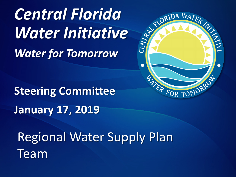*Central Florida* **Central Florida<br>Water Initiative** *Water for Tomorrow*



**Steering Committee January 17, 2019** 

Regional Water Supply Plan Team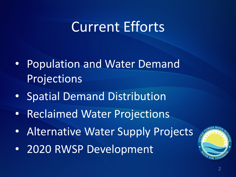### Current Efforts

- Population and Water Demand Projections
- Spatial Demand Distribution
- Reclaimed Water Projections
- Alternative Water Supply Projects
- 2020 RWSP Development

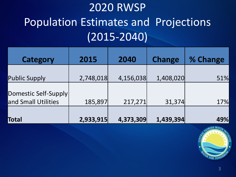### 2020 RWSP Population Estimates and Projections (2015-2040)

| Category                                    | 2015      | 2040      | <b>Change</b> | % Change |
|---------------------------------------------|-----------|-----------|---------------|----------|
| <b>Public Supply</b>                        | 2,748,018 | 4,156,038 | 1,408,020     | 51%      |
| Domestic Self-Supply<br>and Small Utilities | 185,897   | 217,271   | 31,374        | 17%      |
| Total                                       | 2,933,915 | 4,373,309 | 1,439,394     | 49%      |

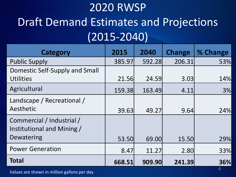### 2020 RWSP Draft Demand Estimates and Projections (2015-2040)

| <b>Category</b>                                                       | 2015   | 2040   | <b>Change</b> | % Change |
|-----------------------------------------------------------------------|--------|--------|---------------|----------|
| <b>Public Supply</b>                                                  | 385.97 | 592.28 | 206.31        | 53%      |
| Domestic Self-Supply and Small<br><b>Utilities</b>                    | 21.56  | 24.59  | 3.03          | 14%      |
| Agricultural                                                          | 159.38 | 163.49 | 4.11          | 3%       |
| Landscape / Recreational /<br>Aesthetic                               | 39.63  | 49.27  | 9.64          | 24%      |
| Commercial / Industrial /<br>Institutional and Mining /<br>Dewatering | 53.50  | 69.00  | 15.50         | 29%      |
| <b>Power Generation</b>                                               | 8.47   | 11.27  | 2.80          | 33%      |
| <b>Total</b>                                                          | 668.51 | 909.90 | 241.39        | 36%      |

<sup>4</sup> Values are shown in million gallons per day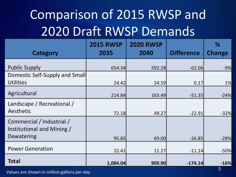## Comparison of 2015 RWSP and 2020 Draft RWSP Demands

| Category                                                              | <b>2015 RWSP</b><br>2035 | <b>2020 RWSP</b><br>2040 | <b>Difference</b> | %<br><b>Change</b> |
|-----------------------------------------------------------------------|--------------------------|--------------------------|-------------------|--------------------|
| <b>Public Supply</b>                                                  | 654.34                   | 592.28                   | $-62.06$          | $-9%$              |
| Domestic Self-Supply and Small<br><b>Utilities</b>                    | 24.42                    | 24.59                    | 0.17              | 1%                 |
| Agricultural                                                          | 214.84                   | 163.49                   | $-51.35$          | $-24%$             |
| Landscape / Recreational /<br>Aesthetic                               | 72.18                    | 49.27                    | $-22.91$          | $-32%$             |
| Commercial / Industrial /<br>Institutional and Mining /<br>Dewatering | 95.85                    | 69.00                    | $-26.85$          | $-28%$             |
| <b>Power Generation</b>                                               | 22.41                    | 11.27                    | $-11.14$          | $-50%$             |
| <b>Total</b>                                                          | 1,084.04                 | 909.90                   | $-174.14$         | $-16%$             |

Values are shown in million gallons per day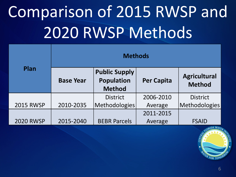# Comparison of 2015 RWSP and 2020 RWSP Methods

|                  | <b>Methods</b>   |                                                            |                   |                                      |
|------------------|------------------|------------------------------------------------------------|-------------------|--------------------------------------|
| Plan             | <b>Base Year</b> | <b>Public Supply</b><br><b>Population</b><br><b>Method</b> | <b>Per Capita</b> | <b>Agricultural</b><br><b>Method</b> |
|                  |                  | <b>District</b>                                            | 2006-2010         | <b>District</b>                      |
| <b>2015 RWSP</b> | 2010-2035        | Methodologies                                              | Average           | Methodologies                        |
|                  |                  |                                                            | 2011-2015         |                                      |
| <b>2020 RWSP</b> | 2015-2040        | <b>BEBR Parcels</b>                                        | Average           | <b>FSAID</b>                         |

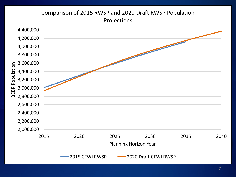#### Comparison of 2015 RWSP and 2020 Draft RWSP Population Projections

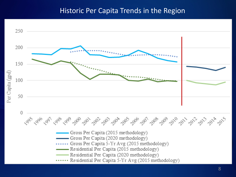#### Historic Per Capita Trends in the Region

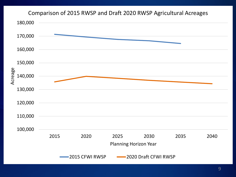#### Comparison of 2015 RWSP and Draft 2020 RWSP Agricultural Acreages

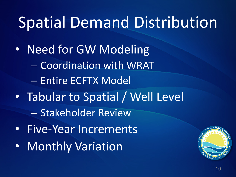## Spatial Demand Distribution

- Need for GW Modeling
	- Coordination with WRAT
	- Entire ECFTX Model
- Tabular to Spatial / Well Level
	- Stakeholder Review
- Five-Year Increments
- Monthly Variation

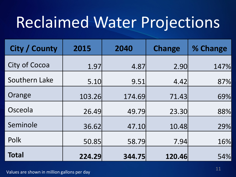## Reclaimed Water Projections

| City / County | 2015   | 2040   | <b>Change</b> | % Change |
|---------------|--------|--------|---------------|----------|
| City of Cocoa | 1.97   | 4.87   | 2.90          | 147%     |
| Southern Lake | 5.10   | 9.51   | 4.42          | 87%      |
| Orange        | 103.26 | 174.69 | 71.43         | 69%      |
| Osceola       | 26.49  | 49.79  | 23.30         | 88%      |
| Seminole      | 36.62  | 47.10  | 10.48         | 29%      |
| Polk          | 50.85  | 58.79  | 7.94          | 16%      |
| <b>Total</b>  | 224.29 | 344.75 | 120.46        | 54%      |

11 Values are shown in million gallons per day<br>and the state of the state of the state of the state of the state of the state of the state of the state of th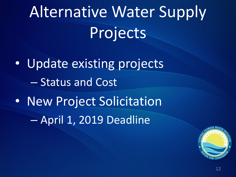Alternative Water Supply Projects

• Update existing projects – Status and Cost • New Project Solicitation – April 1, 2019 Deadline

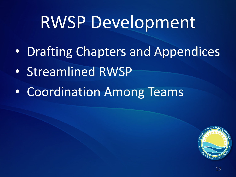## RWSP Development

- Drafting Chapters and Appendices
- Streamlined RWSP
- Coordination Among Teams

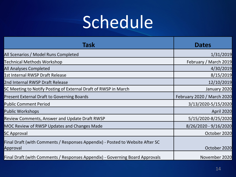# Schedule

| <b>Task</b>                                                                               | <b>Dates</b>               |
|-------------------------------------------------------------------------------------------|----------------------------|
| All Scenarios / Model Runs Completed                                                      | 1/31/2019                  |
| Technical Methods Workshop                                                                | February / March 2019      |
| All Analyses Completed                                                                    | 4/30/2019                  |
| 1st Internal RWSP Draft Release                                                           | 8/15/2019                  |
| 2nd Internal RWSP Draft Release                                                           | 12/10/2019                 |
| SC Meeting to Notify Posting of External Draft of RWSP in March                           | January 2020               |
| Present External Draft to Governing Boards                                                | February 2020 / March 2020 |
| <b>Public Comment Period</b>                                                              | 3/13/2020-5/15/2020        |
| Public Workshops                                                                          | April 2020                 |
| <b>Review Comments, Answer and Update Draft RWSP</b>                                      | 5/15/2020-8/25/2020        |
| MOC Review of RWSP Updates and Changes Made                                               | 8/26/2020 - 9/16/2020      |
| <b>SC Approval</b>                                                                        | October 2020               |
| Final Draft (with Comments / Responses Appendix) - Posted to Website After SC<br>Approval | October 2020               |
| Final Draft (with Comments / Responses Appendix) - Governing Board Approvals              | November 2020              |